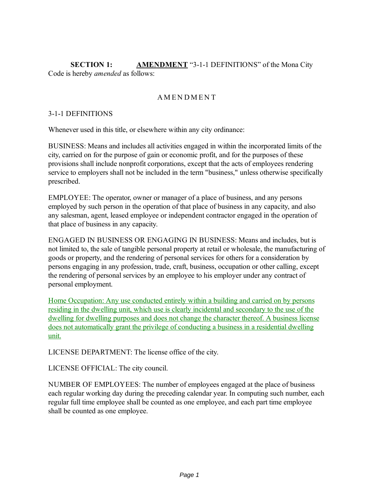**SECTION 1: AMENDMENT** "3-1-1 DEFINITIONS" of the Mona City Code is hereby *amended* as follows:

# **AMENDMENT**

### 3-1-1 DEFINITIONS

Whenever used in this title, or elsewhere within any city ordinance:

BUSINESS: Means and includes all activities engaged in within the incorporated limits of the city, carried on for the purpose of gain or economic profit, and for the purposes of these provisions shall include nonprofit corporations, except that the acts of employees rendering service to employers shall not be included in the term "business," unless otherwise specifically prescribed.

EMPLOYEE: The operator, owner or manager of a place of business, and any persons employed by such person in the operation of that place of business in any capacity, and also any salesman, agent, leased employee or independent contractor engaged in the operation of that place of business in any capacity.

ENGAGED IN BUSINESS OR ENGAGING IN BUSINESS: Means and includes, but is not limited to, the sale of tangible personal property at retail or wholesale, the manufacturing of goods or property, and the rendering of personal services for others for a consideration by persons engaging in any profession, trade, craft, business, occupation or other calling, except the rendering of personal services by an employee to his employer under any contract of personal employment.

Home Occupation: Any use conducted entirely within a building and carried on by persons residing in the dwelling unit, which use is clearly incidental and secondary to the use of the dwelling for dwelling purposes and does not change the character thereof. A business license does not automatically grant the privilege of conducting a business in a residential dwelling unit.

LICENSE DEPARTMENT: The license office of the city.

LICENSE OFFICIAL: The city council.

NUMBER OF EMPLOYEES: The number of employees engaged at the place of business each regular working day during the preceding calendar year. In computing such number, each regular full time employee shall be counted as one employee, and each part time employee shall be counted as one employee.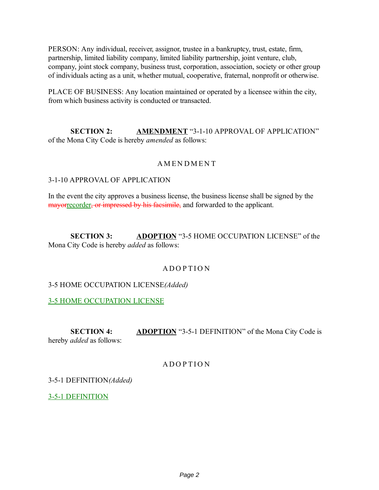PERSON: Any individual, receiver, assignor, trustee in a bankruptcy, trust, estate, firm, partnership, limited liability company, limited liability partnership, joint venture, club, company, joint stock company, business trust, corporation, association, society or other group of individuals acting as a unit, whether mutual, cooperative, fraternal, nonprofit or otherwise.

PLACE OF BUSINESS: Any location maintained or operated by a licensee within the city, from which business activity is conducted or transacted.

**SECTION 2: AMENDMENT** "3-1-10 APPROVAL OF APPLICATION" of the Mona City Code is hereby *amended* as follows:

#### **AMENDMENT**

#### 3-1-10 APPROVAL OF APPLICATION

In the event the city approves a business license, the business license shall be signed by the mayorrecorder, or impressed by his facsimile, and forwarded to the applicant.

**SECTION 3: ADOPTION** "3-5 HOME OCCUPATION LICENSE" of the Mona City Code is hereby *added* as follows:

#### **ADOPTION**

#### 3-5 HOME OCCUPATION LICENSE*(Added)*

3-5 HOME OCCUPATION LICENSE

**SECTION 4: ADOPTION** "3-5-1 DEFINITION" of the Mona City Code is hereby *added* as follows:

### **ADOPTION**

3-5-1 DEFINITION*(Added)*

3-5-1 DEFINITION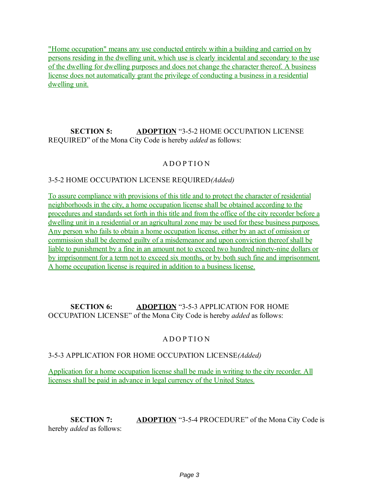"Home occupation" means any use conducted entirely within a building and carried on by persons residing in the dwelling unit, which use is clearly incidental and secondary to the use of the dwelling for dwelling purposes and does not change the character thereof. A business license does not automatically grant the privilege of conducting a business in a residential dwelling unit.

# **SECTION 5: ADOPTION** "3-5-2 HOME OCCUPATION LICENSE REQUIRED" of the Mona City Code is hereby *added* as follows:

# **ADOPTION**

## 3-5-2 HOME OCCUPATION LICENSE REQUIRED*(Added)*

To assure compliance with provisions of this title and to protect the character of residential neighborhoods in the city, a home occupation license shall be obtained according to the procedures and standards set forth in this title and from the office of the city recorder before a dwelling unit in a residential or an agricultural zone may be used for these business purposes. Any person who fails to obtain a home occupation license, either by an act of omission or commission shall be deemed guilty of a misdemeanor and upon conviction thereof shall be liable to punishment by a fine in an amount not to exceed two hundred ninety-nine dollars or by imprisonment for a term not to exceed six months, or by both such fine and imprisonment. A home occupation license is required in addition to a business license.

## **SECTION 6: ADOPTION** "3-5-3 APPLICATION FOR HOME OCCUPATION LICENSE" of the Mona City Code is hereby *added* as follows:

## A DOPTION

#### 3-5-3 APPLICATION FOR HOME OCCUPATION LICENSE*(Added)*

Application for a home occupation license shall be made in writing to the city recorder. All licenses shall be paid in advance in legal currency of the United States.

**SECTION 7: ADOPTION** "3-5-4 PROCEDURE" of the Mona City Code is hereby *added* as follows: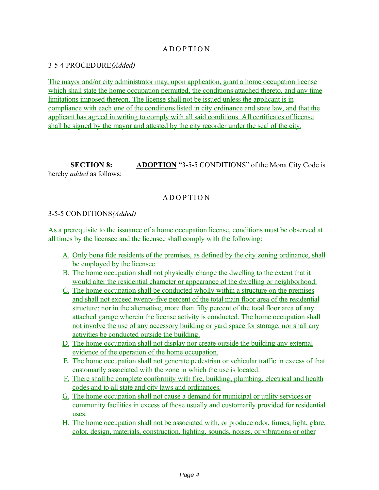# A DOPTION

3-5-4 PROCEDURE*(Added)*

The mayor and/or city administrator may, upon application, grant a home occupation license which shall state the home occupation permitted, the conditions attached thereto, and any time limitations imposed thereon. The license shall not be issued unless the applicant is in compliance with each one of the conditions listed in city ordinance and state law, and that the applicant has agreed in writing to comply with all said conditions. All certificates of license shall be signed by the mayor and attested by the city recorder under the seal of the city.

**SECTION 8: ADOPTION** "3-5-5 CONDITIONS" of the Mona City Code is hereby *added* as follows:

# **ADOPTION**

### 3-5-5 CONDITIONS*(Added)*

As a prerequisite to the issuance of a home occupation license, conditions must be observed at all times by the licensee and the licensee shall comply with the following:

- A. Only bona fide residents of the premises, as defined by the city zoning ordinance, shall be employed by the licensee.
- B. The home occupation shall not physically change the dwelling to the extent that it would alter the residential character or appearance of the dwelling or neighborhood.
- C. The home occupation shall be conducted wholly within a structure on the premises and shall not exceed twenty-five percent of the total main floor area of the residential structure; nor in the alternative, more than fifty percent of the total floor area of any attached garage wherein the license activity is conducted. The home occupation shall not involve the use of any accessory building or yard space for storage, nor shall any activities be conducted outside the building.
- D. The home occupation shall not display nor create outside the building any external evidence of the operation of the home occupation.
- E. The home occupation shall not generate pedestrian or vehicular traffic in excess of that customarily associated with the zone in which the use is located.
- F. There shall be complete conformity with fire, building, plumbing, electrical and health codes and to all state and city laws and ordinances.
- G. The home occupation shall not cause a demand for municipal or utility services or community facilities in excess of those usually and customarily provided for residential uses.
- H. The home occupation shall not be associated with, or produce odor, fumes, light, glare, color, design, materials, construction, lighting, sounds, noises, or vibrations or other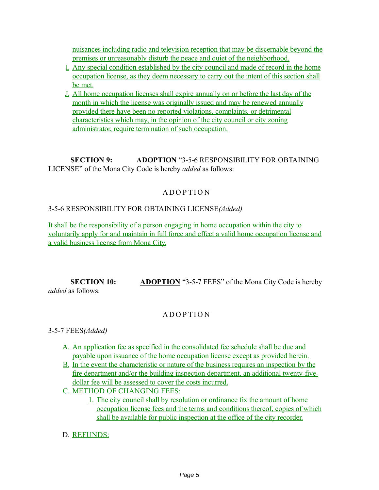nuisances including radio and television reception that may be discernable beyond the premises or unreasonably disturb the peace and quiet of the neighborhood.

- I. Any special condition established by the city council and made of record in the home occupation license, as they deem necessary to carry out the intent of this section shall be met.
- J. All home occupation licenses shall expire annually on or before the last day of the month in which the license was originally issued and may be renewed annually provided there have been no reported violations, complaints, or detrimental characteristics which may, in the opinion of the city council or city zoning administrator, require termination of such occupation.

**SECTION 9: ADOPTION** "3-5-6 RESPONSIBILITY FOR OBTAINING LICENSE" of the Mona City Code is hereby *added* as follows:

# A D O P TI O N

## 3-5-6 RESPONSIBILITY FOR OBTAINING LICENSE*(Added)*

It shall be the responsibility of a person engaging in home occupation within the city to voluntarily apply for and maintain in full force and effect a valid home occupation license and a valid business license from Mona City.

**SECTION 10: ADOPTION** "3-5-7 FEES" of the Mona City Code is hereby *added* as follows:

## **A DOPTION**

3-5-7 FEES*(Added)*

- A. An application fee as specified in the consolidated fee schedule shall be due and payable upon issuance of the home occupation license except as provided herein.
- B. In the event the characteristic or nature of the business requires an inspection by the fire department and/or the building inspection department, an additional twenty-fivedollar fee will be assessed to cover the costs incurred.
- C. METHOD OF CHANGING FEES:
	- 1. The city council shall by resolution or ordinance fix the amount of home occupation license fees and the terms and conditions thereof, copies of which shall be available for public inspection at the office of the city recorder.
- D. REFUNDS: